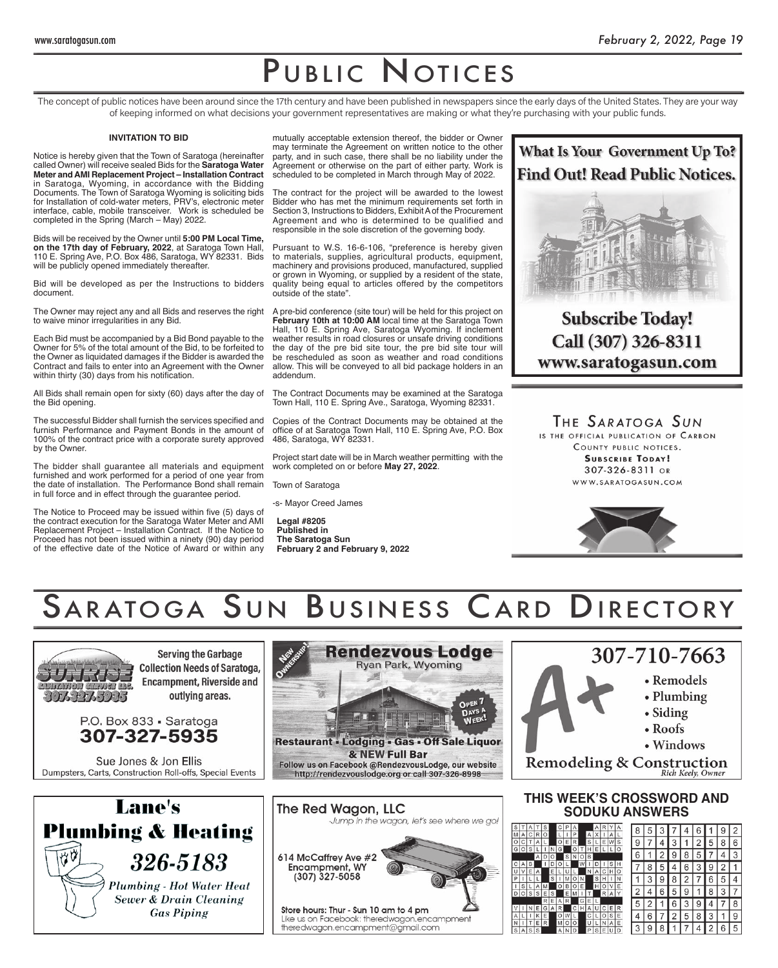# PUBLIC NOTICES

The concept of public notices have been around since the 17th century and have been published in newspapers since the early days of the United States. They are your way of keeping informed on what decisions your government representatives are making or what they're purchasing with your public funds. -

#### **INVITATION TO BID**

Notice is hereby given that the Town of Saratoga (hereinafter called Owner) will receive sealed Bids for the **Saratoga Water Meter and AMI Replacement Project – Installation Contract**  in Saratoga, Wyoming, in accordance with the Bidding Documents. The Town of Saratoga Wyoming is soliciting bids for Installation of cold-water meters, PRV's, electronic meter interface, cable, mobile transceiver. Work is scheduled be completed in the Spring (March – May) 2022.

Bids will be received by the Owner until **5:00 PM Local Time, on the 17th day of February, 2022**, at Saratoga Town Hall, 110 E. Spring Ave, P.O. Box 486, Saratoga, WY 82331. Bids will be publicly opened immediately thereafter.

Bid will be developed as per the Instructions to bidders document.

The Owner may reject any and all Bids and reserves the right to waive minor irregularities in any Bid.

Each Bid must be accompanied by a Bid Bond payable to the Owner for 5% of the total amount of the Bid, to be forfeited to the Owner as liquidated damages if the Bidder is awarded the Contract and fails to enter into an Agreement with the Owner within thirty (30) days from his notification.

All Bids shall remain open for sixty (60) days after the day of the Bid opening.

The successful Bidder shall furnish the services specified and furnish Performance and Payment Bonds in the amount of 100% of the contract price with a corporate surety approved by the Owner.

The bidder shall guarantee all materials and equipment furnished and work performed for a period of one year from the date of installation. The Performance Bond shall remain in full force and in effect through the guarantee period.

The Notice to Proceed may be issued within five (5) days of the contract execution for the Saratoga Water Meter and AMI Replacement Project – Installation Contract. If the Notice to Proceed has not been issued within a ninety (90) day period of the effective date of the Notice of Award or within any

mutually acceptable extension thereof, the bidder or Owner may terminate the Agreement on written notice to the other party, and in such case, there shall be no liability under the Agreement or otherwise on the part of either party. Work is scheduled to be completed in March through May of 2022.

The contract for the project will be awarded to the lowest Bidder who has met the minimum requirements set forth in Section 3, Instructions to Bidders, Exhibit A of the Procurement Agreement and who is determined to be qualified and responsible in the sole discretion of the governing body.

Pursuant to W.S. 16-6-106, "preference is hereby given to materials, supplies, agricultural products, equipment, machinery and provisions produced, manufactured, supplied or grown in Wyoming, or supplied by a resident of the state, quality being equal to articles offered by the competitors outside of the state".

A pre-bid conference (site tour) will be held for this project on **February 10th at 10:00 AM** local time at the Saratoga Town Hall, 110 E. Spring Ave, Saratoga Wyoming. If inclement weather results in road closures or unsafe driving conditions the day of the pre bid site tour, the pre bid site tour will be rescheduled as soon as weather and road conditions allow. This will be conveyed to all bid package holders in an addendum.

The Contract Documents may be examined at the Saratoga Town Hall, 110 E. Spring Ave., Saratoga, Wyoming 82331.

Copies of the Contract Documents may be obtained at the office of at Saratoga Town Hall, 110 E. Spring Ave, P.O. Box 486, Saratoga, WY 82331.

Project start date will be in March weather permitting with the work completed on or before **May 27, 2022**.

Town of Saratoga

-s- Mayor Creed James

**Legal #8205 Published in The Saratoga Sun February 2 and February 9, 2022**



**Subscribe Today!** Call (307) 326-8311 www.saratogasun.com

THE SARATOGA SUN

IS THE OFFICIAL PUBLICATION OF CARBON COUNTY PUBLIC NOTICES. **SUBSCRIBE TODAY!** 307-326-8311 OR WWW.SARATOGASUN.COM



# SARATOGA SUN BUSINESS CARD DIRECTORY